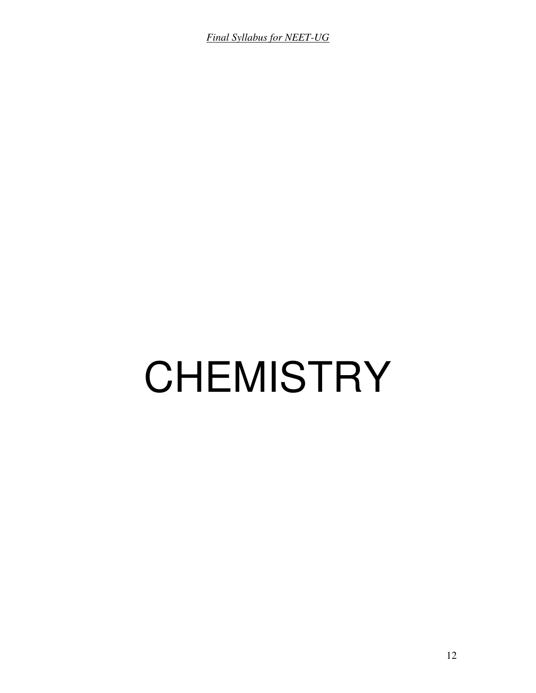*Final Syllabus for NEET-UG*

# **CHEMISTRY**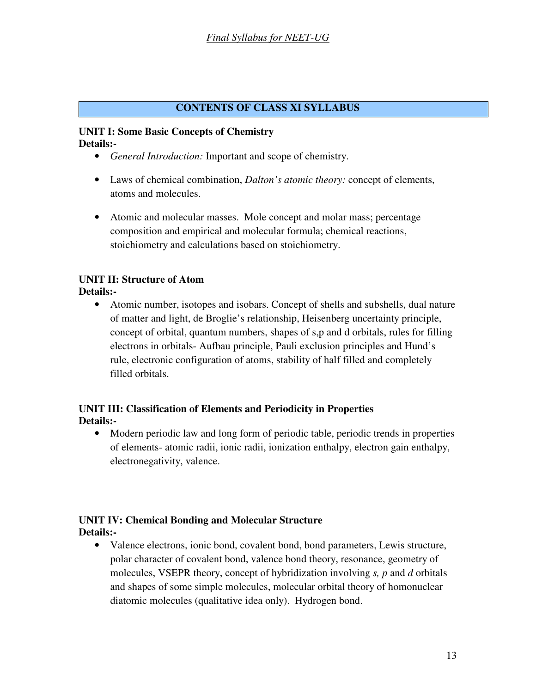#### **CONTENTS OF CLASS XI SYLLABUS**

#### **UNIT I: Some Basic Concepts of Chemistry Details:-**

- *General Introduction:* Important and scope of chemistry.
- Laws of chemical combination, *Dalton's atomic theory:* concept of elements, atoms and molecules.
- Atomic and molecular masses. Mole concept and molar mass; percentage composition and empirical and molecular formula; chemical reactions, stoichiometry and calculations based on stoichiometry.

# **UNIT II: Structure of Atom**

**Details:-** 

• Atomic number, isotopes and isobars. Concept of shells and subshells, dual nature of matter and light, de Broglie's relationship, Heisenberg uncertainty principle, concept of orbital, quantum numbers, shapes of s,p and d orbitals, rules for filling electrons in orbitals- Aufbau principle, Pauli exclusion principles and Hund's rule, electronic configuration of atoms, stability of half filled and completely filled orbitals.

# **UNIT III: Classification of Elements and Periodicity in Properties Details:-**

• Modern periodic law and long form of periodic table, periodic trends in properties of elements- atomic radii, ionic radii, ionization enthalpy, electron gain enthalpy, electronegativity, valence.

# **UNIT IV: Chemical Bonding and Molecular Structure Details:-**

• Valence electrons, ionic bond, covalent bond, bond parameters, Lewis structure, polar character of covalent bond, valence bond theory, resonance, geometry of molecules, VSEPR theory, concept of hybridization involving *s, p* and *d* orbitals and shapes of some simple molecules, molecular orbital theory of homonuclear diatomic molecules (qualitative idea only). Hydrogen bond.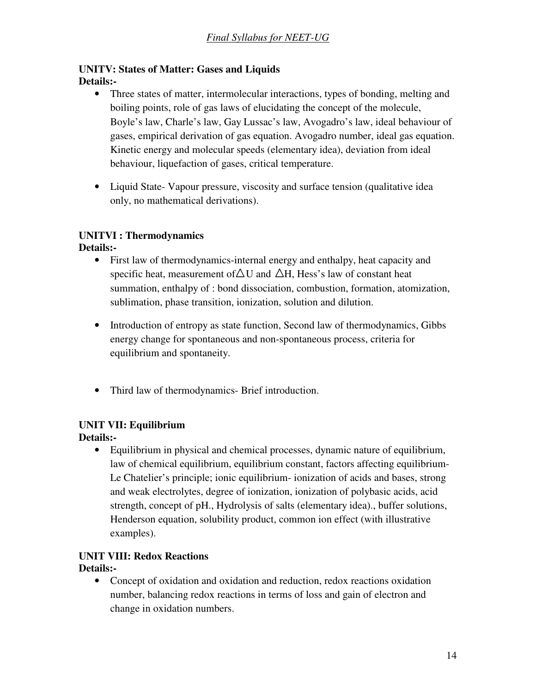# **UNITV: States of Matter: Gases and Liquids Details:-**

- Three states of matter, intermolecular interactions, types of bonding, melting and boiling points, role of gas laws of elucidating the concept of the molecule, Boyle's law, Charle's law, Gay Lussac's law, Avogadro's law, ideal behaviour of gases, empirical derivation of gas equation. Avogadro number, ideal gas equation. Kinetic energy and molecular speeds (elementary idea), deviation from ideal behaviour, liquefaction of gases, critical temperature.
- Liquid State- Vapour pressure, viscosity and surface tension (qualitative idea only, no mathematical derivations).

# **UNITVI : Thermodynamics**

**Details:-** 

- First law of thermodynamics-internal energy and enthalpy, heat capacity and specific heat, measurement of  $\Delta U$  and  $\Delta H$ , Hess's law of constant heat summation, enthalpy of : bond dissociation, combustion, formation, atomization, sublimation, phase transition, ionization, solution and dilution.
- Introduction of entropy as state function, Second law of thermodynamics, Gibbs energy change for spontaneous and non-spontaneous process, criteria for equilibrium and spontaneity.
- Third law of thermodynamics- Brief introduction.

# **UNIT VII: Equilibrium**

**Details:-** 

• Equilibrium in physical and chemical processes, dynamic nature of equilibrium, law of chemical equilibrium, equilibrium constant, factors affecting equilibrium-Le Chatelier's principle; ionic equilibrium- ionization of acids and bases, strong and weak electrolytes, degree of ionization, ionization of polybasic acids, acid strength, concept of pH., Hydrolysis of salts (elementary idea)., buffer solutions, Henderson equation, solubility product, common ion effect (with illustrative examples).

#### **UNIT VIII: Redox Reactions Details:-**

• Concept of oxidation and oxidation and reduction, redox reactions oxidation number, balancing redox reactions in terms of loss and gain of electron and change in oxidation numbers.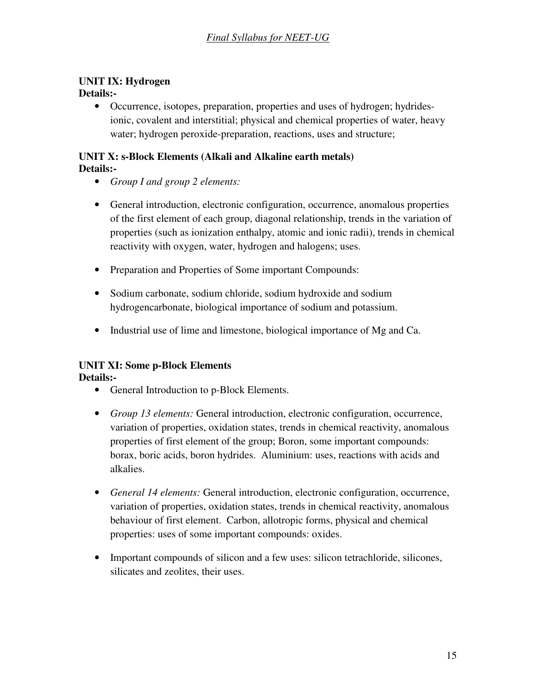# **UNIT IX: Hydrogen**

# **Details:-**

• Occurrence, isotopes, preparation, properties and uses of hydrogen; hydridesionic, covalent and interstitial; physical and chemical properties of water, heavy water; hydrogen peroxide-preparation, reactions, uses and structure;

### **UNIT X: s-Block Elements (Alkali and Alkaline earth metals) Details:-**

- *Group I and group 2 elements:*
- General introduction, electronic configuration, occurrence, anomalous properties of the first element of each group, diagonal relationship, trends in the variation of properties (such as ionization enthalpy, atomic and ionic radii), trends in chemical reactivity with oxygen, water, hydrogen and halogens; uses.
- Preparation and Properties of Some important Compounds:
- Sodium carbonate, sodium chloride, sodium hydroxide and sodium hydrogencarbonate, biological importance of sodium and potassium.
- Industrial use of lime and limestone, biological importance of Mg and Ca.

# **UNIT XI: Some p-Block Elements**

- General Introduction to p-Block Elements.
- *Group 13 elements:* General introduction, electronic configuration, occurrence, variation of properties, oxidation states, trends in chemical reactivity, anomalous properties of first element of the group; Boron, some important compounds: borax, boric acids, boron hydrides. Aluminium: uses, reactions with acids and alkalies.
- *General 14 elements:* General introduction, electronic configuration, occurrence, variation of properties, oxidation states, trends in chemical reactivity, anomalous behaviour of first element. Carbon, allotropic forms, physical and chemical properties: uses of some important compounds: oxides.
- Important compounds of silicon and a few uses: silicon tetrachloride, silicones, silicates and zeolites, their uses.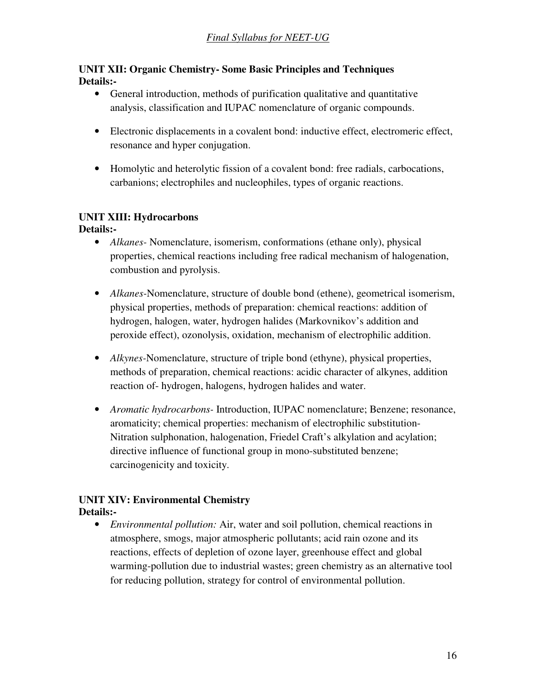## **UNIT XII: Organic Chemistry- Some Basic Principles and Techniques Details:-**

- General introduction, methods of purification qualitative and quantitative analysis, classification and IUPAC nomenclature of organic compounds.
- Electronic displacements in a covalent bond: inductive effect, electromeric effect, resonance and hyper conjugation.
- Homolytic and heterolytic fission of a covalent bond: free radials, carbocations, carbanions; electrophiles and nucleophiles, types of organic reactions.

# **UNIT XIII: Hydrocarbons**

#### **Details:-**

- *Alkanes* Nomenclature, isomerism, conformations (ethane only), physical properties, chemical reactions including free radical mechanism of halogenation, combustion and pyrolysis.
- *Alkanes-*Nomenclature, structure of double bond (ethene), geometrical isomerism, physical properties, methods of preparation: chemical reactions: addition of hydrogen, halogen, water, hydrogen halides (Markovnikov's addition and peroxide effect), ozonolysis, oxidation, mechanism of electrophilic addition.
- *Alkynes-*Nomenclature, structure of triple bond (ethyne), physical properties, methods of preparation, chemical reactions: acidic character of alkynes, addition reaction of- hydrogen, halogens, hydrogen halides and water.
- *Aromatic hydrocarbons-* Introduction, IUPAC nomenclature; Benzene; resonance, aromaticity; chemical properties: mechanism of electrophilic substitution-Nitration sulphonation, halogenation, Friedel Craft's alkylation and acylation; directive influence of functional group in mono-substituted benzene; carcinogenicity and toxicity.

#### **UNIT XIV: Environmental Chemistry Details:-**

• *Environmental pollution:* Air, water and soil pollution, chemical reactions in atmosphere, smogs, major atmospheric pollutants; acid rain ozone and its reactions, effects of depletion of ozone layer, greenhouse effect and global warming-pollution due to industrial wastes; green chemistry as an alternative tool for reducing pollution, strategy for control of environmental pollution.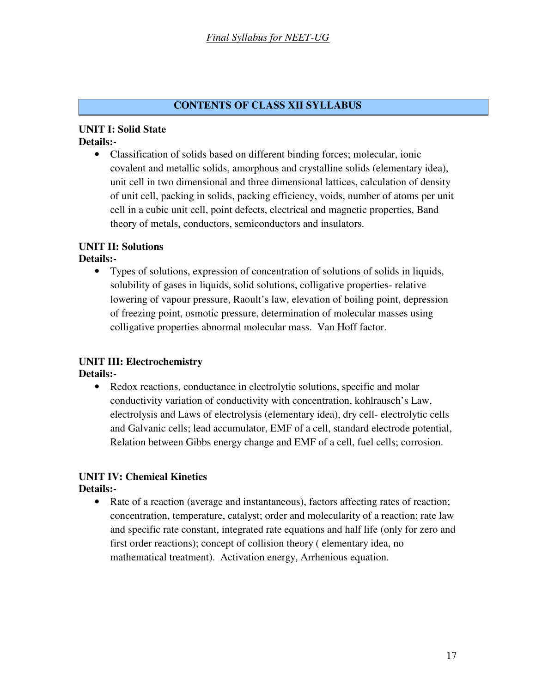## **CONTENTS OF CLASS XII SYLLABUS**

#### **UNIT I: Solid State Details:-**

• Classification of solids based on different binding forces; molecular, ionic covalent and metallic solids, amorphous and crystalline solids (elementary idea), unit cell in two dimensional and three dimensional lattices, calculation of density of unit cell, packing in solids, packing efficiency, voids, number of atoms per unit cell in a cubic unit cell, point defects, electrical and magnetic properties, Band theory of metals, conductors, semiconductors and insulators.

#### **UNIT II: Solutions Details:-**

- - Types of solutions, expression of concentration of solutions of solids in liquids, solubility of gases in liquids, solid solutions, colligative properties- relative lowering of vapour pressure, Raoult's law, elevation of boiling point, depression of freezing point, osmotic pressure, determination of molecular masses using colligative properties abnormal molecular mass. Van Hoff factor.

# **UNIT III: Electrochemistry**

**Details:-** 

• Redox reactions, conductance in electrolytic solutions, specific and molar conductivity variation of conductivity with concentration, kohlrausch's Law, electrolysis and Laws of electrolysis (elementary idea), dry cell- electrolytic cells and Galvanic cells; lead accumulator, EMF of a cell, standard electrode potential, Relation between Gibbs energy change and EMF of a cell, fuel cells; corrosion.

#### **UNIT IV: Chemical Kinetics Details:-**

• Rate of a reaction (average and instantaneous), factors affecting rates of reaction; concentration, temperature, catalyst; order and molecularity of a reaction; rate law and specific rate constant, integrated rate equations and half life (only for zero and first order reactions); concept of collision theory ( elementary idea, no mathematical treatment). Activation energy, Arrhenious equation.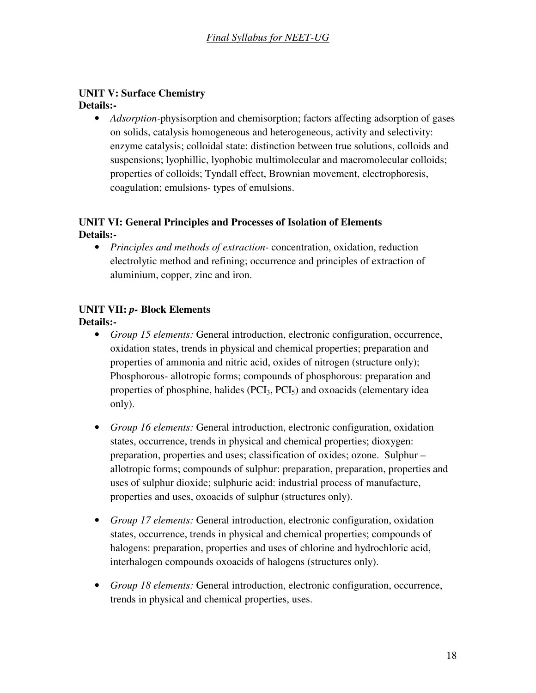#### **UNIT V: Surface Chemistry Details:-**

• *Adsorption-*physisorption and chemisorption; factors affecting adsorption of gases on solids, catalysis homogeneous and heterogeneous, activity and selectivity: enzyme catalysis; colloidal state: distinction between true solutions, colloids and suspensions; lyophillic, lyophobic multimolecular and macromolecular colloids; properties of colloids; Tyndall effect, Brownian movement, electrophoresis, coagulation; emulsions- types of emulsions.

## **UNIT VI: General Principles and Processes of Isolation of Elements Details:-**

• *Principles and methods of extraction-* concentration, oxidation, reduction electrolytic method and refining; occurrence and principles of extraction of aluminium, copper, zinc and iron.

# **UNIT VII:** *p-* **Block Elements**

- *Group 15 elements:* General introduction, electronic configuration, occurrence, oxidation states, trends in physical and chemical properties; preparation and properties of ammonia and nitric acid, oxides of nitrogen (structure only); Phosphorous- allotropic forms; compounds of phosphorous: preparation and properties of phosphine, halides  $(PCI<sub>3</sub>, PCI<sub>5</sub>)$  and oxoacids (elementary idea only).
- *Group 16 elements:* General introduction, electronic configuration, oxidation states, occurrence, trends in physical and chemical properties; dioxygen: preparation, properties and uses; classification of oxides; ozone. Sulphur – allotropic forms; compounds of sulphur: preparation, preparation, properties and uses of sulphur dioxide; sulphuric acid: industrial process of manufacture, properties and uses, oxoacids of sulphur (structures only).
- *Group 17 elements:* General introduction, electronic configuration, oxidation states, occurrence, trends in physical and chemical properties; compounds of halogens: preparation, properties and uses of chlorine and hydrochloric acid, interhalogen compounds oxoacids of halogens (structures only).
- *Group 18 elements:* General introduction, electronic configuration, occurrence, trends in physical and chemical properties, uses.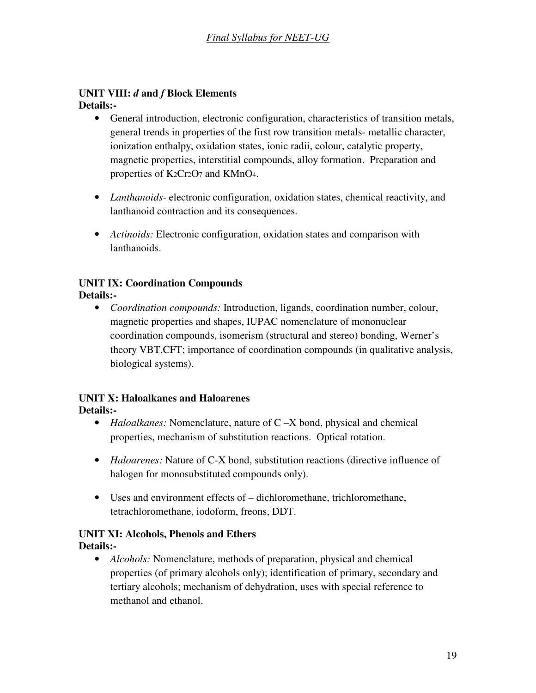#### **UNIT VIII:** *d* **and** *f* **Block Elements Details:-**

- General introduction, electronic configuration, characteristics of transition metals, general trends in properties of the first row transition metals- metallic character, ionization enthalpy, oxidation states, ionic radii, colour, catalytic property, magnetic properties, interstitial compounds, alloy formation. Preparation and properties of K2Cr2O7 and KMnO4.
- *Lanthanoids-* electronic configuration, oxidation states, chemical reactivity, and lanthanoid contraction and its consequences.
- *Actinoids:* Electronic configuration, oxidation states and comparison with lanthanoids.

# **UNIT IX: Coordination Compounds**

# **Details:-**

• *Coordination compounds:* Introduction, ligands, coordination number, colour, magnetic properties and shapes, IUPAC nomenclature of mononuclear coordination compounds, isomerism (structural and stereo) bonding, Werner's theory VBT,CFT; importance of coordination compounds (in qualitative analysis, biological systems).

#### **UNIT X: Haloalkanes and Haloarenes Details:-**

- *Haloalkanes:* Nomenclature, nature of C –X bond, physical and chemical properties, mechanism of substitution reactions. Optical rotation.
- *Haloarenes:* Nature of C-X bond, substitution reactions (directive influence of halogen for monosubstituted compounds only).
- Uses and environment effects of dichloromethane, trichloromethane, tetrachloromethane, iodoform, freons, DDT.

# **UNIT XI: Alcohols, Phenols and Ethers**

#### **Details:-**

• *Alcohols:* Nomenclature, methods of preparation, physical and chemical properties (of primary alcohols only); identification of primary, secondary and tertiary alcohols; mechanism of dehydration, uses with special reference to methanol and ethanol.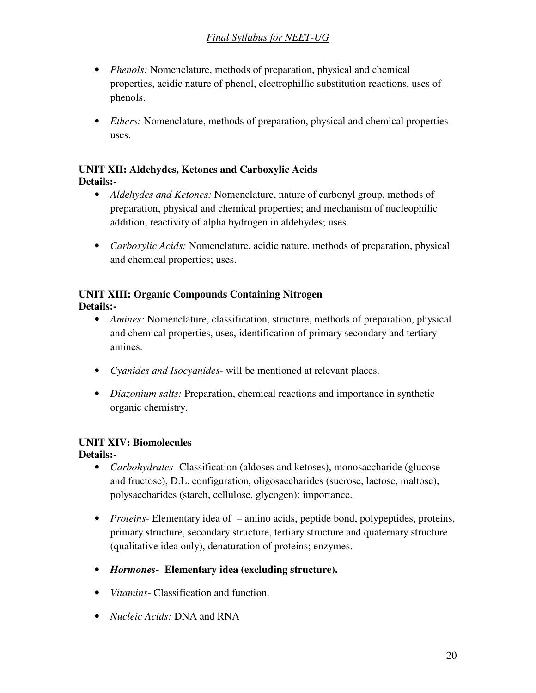- *Phenols:* Nomenclature, methods of preparation, physical and chemical properties, acidic nature of phenol, electrophillic substitution reactions, uses of phenols.
- *Ethers:* Nomenclature, methods of preparation, physical and chemical properties uses.

#### **UNIT XII: Aldehydes, Ketones and Carboxylic Acids Details:-**

- *Aldehydes and Ketones:* Nomenclature, nature of carbonyl group, methods of preparation, physical and chemical properties; and mechanism of nucleophilic addition, reactivity of alpha hydrogen in aldehydes; uses.
- *Carboxylic Acids:* Nomenclature, acidic nature, methods of preparation, physical and chemical properties; uses.

# **UNIT XIII: Organic Compounds Containing Nitrogen**

**Details:-** 

- *Amines:* Nomenclature, classification, structure, methods of preparation, physical and chemical properties, uses, identification of primary secondary and tertiary amines.
- *Cyanides and Isocyanides-* will be mentioned at relevant places.
- *Diazonium salts:* Preparation, chemical reactions and importance in synthetic organic chemistry.

# **UNIT XIV: Biomolecules**

- *Carbohydrates-* Classification (aldoses and ketoses), monosaccharide (glucose and fructose), D.L. configuration, oligosaccharides (sucrose, lactose, maltose), polysaccharides (starch, cellulose, glycogen): importance.
- *Proteins* Elementary idea of amino acids, peptide bond, polypeptides, proteins, primary structure, secondary structure, tertiary structure and quaternary structure (qualitative idea only), denaturation of proteins; enzymes.
- *Hormones-* **Elementary idea (excluding structure).**
- *Vitamins-* Classification and function.
- *Nucleic Acids:* DNA and RNA